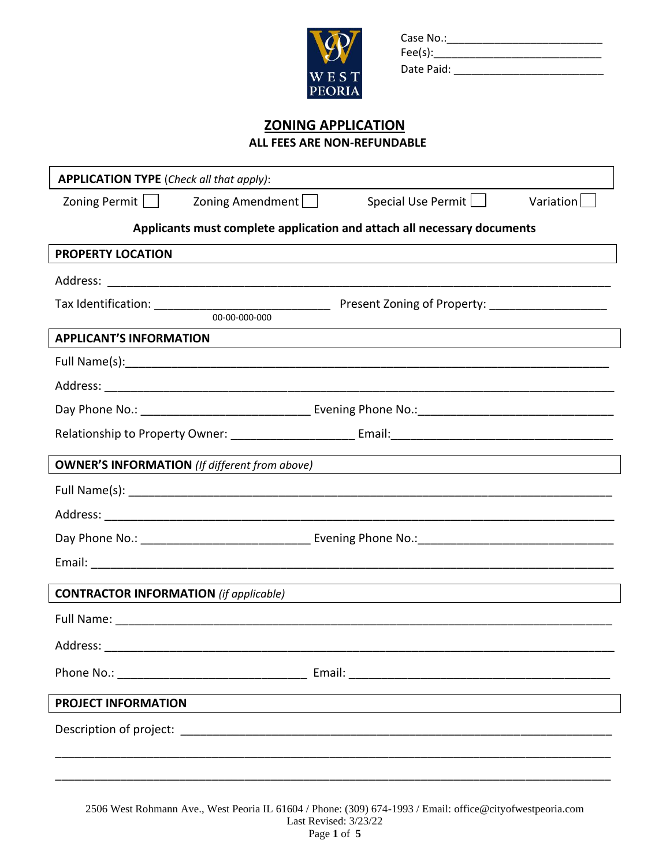

| Case No.:  |  |
|------------|--|
| $Fee(s)$ : |  |
| Date Paid: |  |

## **ZONING APPLICATION ALL FEES ARE NON-REFUNDABLE**

| <b>APPLICATION TYPE</b> (Check all that apply):                         |                                     |  |  |  |  |  |  |
|-------------------------------------------------------------------------|-------------------------------------|--|--|--|--|--|--|
| Zoning Permit     Zoning Amendment                                      | Special Use Permit    <br>Variation |  |  |  |  |  |  |
| Applicants must complete application and attach all necessary documents |                                     |  |  |  |  |  |  |
| <b>PROPERTY LOCATION</b>                                                |                                     |  |  |  |  |  |  |
|                                                                         |                                     |  |  |  |  |  |  |
|                                                                         |                                     |  |  |  |  |  |  |
|                                                                         |                                     |  |  |  |  |  |  |
| <b>APPLICANT'S INFORMATION</b>                                          |                                     |  |  |  |  |  |  |
|                                                                         |                                     |  |  |  |  |  |  |
|                                                                         |                                     |  |  |  |  |  |  |
|                                                                         |                                     |  |  |  |  |  |  |
|                                                                         |                                     |  |  |  |  |  |  |
| <b>OWNER'S INFORMATION</b> (If different from above)                    |                                     |  |  |  |  |  |  |
|                                                                         |                                     |  |  |  |  |  |  |
|                                                                         |                                     |  |  |  |  |  |  |
|                                                                         |                                     |  |  |  |  |  |  |
|                                                                         |                                     |  |  |  |  |  |  |
| <b>CONTRACTOR INFORMATION</b> (if applicable)                           |                                     |  |  |  |  |  |  |
|                                                                         |                                     |  |  |  |  |  |  |
| Address:                                                                |                                     |  |  |  |  |  |  |
|                                                                         |                                     |  |  |  |  |  |  |
|                                                                         |                                     |  |  |  |  |  |  |
| <b>PROJECT INFORMATION</b>                                              |                                     |  |  |  |  |  |  |
|                                                                         |                                     |  |  |  |  |  |  |
|                                                                         |                                     |  |  |  |  |  |  |
|                                                                         |                                     |  |  |  |  |  |  |

2506 West Rohmann Ave., West Peoria IL 61604 / Phone: (309) 674-1993 / Email: office@cityofwestpeoria.com Last Revised: 3/23/22 Page **1** of **5**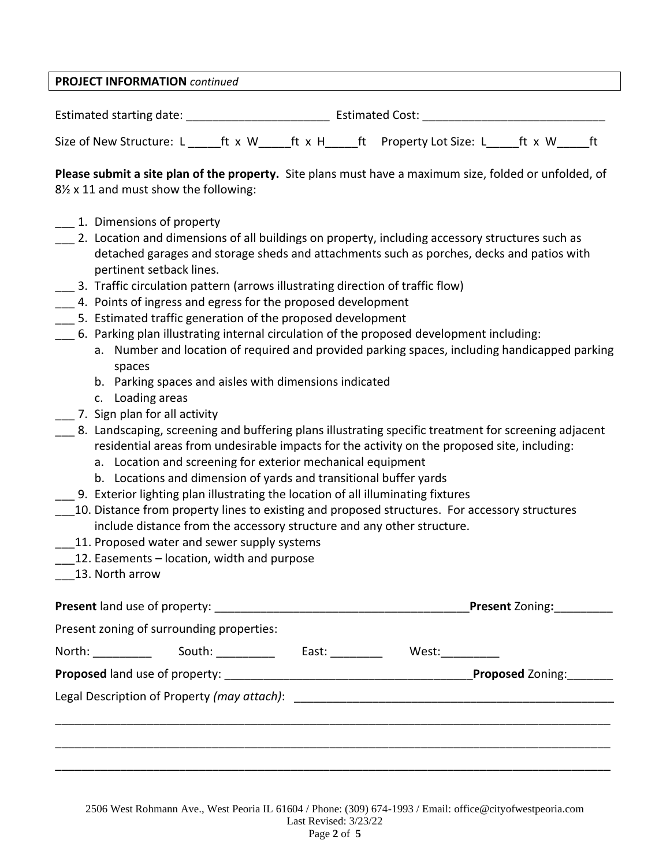| <b>PROJECT INFORMATION</b> continued |  |                                       |      |  |
|--------------------------------------|--|---------------------------------------|------|--|
| Estimated starting date:             |  | <b>Estimated Cost:</b>                |      |  |
| Size of New Structure: L             |  | ft x W ft x H ft Property Lot Size: L | ftxW |  |

**Please submit a site plan of the property.** Site plans must have a maximum size, folded or unfolded, of 8½ x 11 and must show the following:

- \_\_\_ 1. Dimensions of property
- 2. Location and dimensions of all buildings on property, including accessory structures such as detached garages and storage sheds and attachments such as porches, decks and patios with pertinent setback lines.
- \_\_\_ 3. Traffic circulation pattern (arrows illustrating direction of traffic flow)
- \_\_\_ 4. Points of ingress and egress for the proposed development
- 5. Estimated traffic generation of the proposed development
- \_\_\_ 6. Parking plan illustrating internal circulation of the proposed development including:
	- a. Number and location of required and provided parking spaces, including handicapped parking spaces
	- b. Parking spaces and aisles with dimensions indicated
	- c. Loading areas
- 7. Sign plan for all activity
- \_\_\_ 8. Landscaping, screening and buffering plans illustrating specific treatment for screening adjacent residential areas from undesirable impacts for the activity on the proposed site, including:
	- a. Location and screening for exterior mechanical equipment
	- b. Locations and dimension of yards and transitional buffer yards
- \_\_\_ 9. Exterior lighting plan illustrating the location of all illuminating fixtures
- \_\_\_10. Distance from property lines to existing and proposed structures. For accessory structures include distance from the accessory structure and any other structure.
- 11. Proposed water and sewer supply systems
- 12. Easements location, width and purpose
- \_\_\_13. North arrow

|  |                                           |                                                                                                                       | <b>Present Zoning:</b>                                                                                                                                                                                                                                                                                                                                                                                        |  |
|--|-------------------------------------------|-----------------------------------------------------------------------------------------------------------------------|---------------------------------------------------------------------------------------------------------------------------------------------------------------------------------------------------------------------------------------------------------------------------------------------------------------------------------------------------------------------------------------------------------------|--|
|  | Present zoning of surrounding properties: |                                                                                                                       |                                                                                                                                                                                                                                                                                                                                                                                                               |  |
|  | North: South: South:                      | East: $\frac{1}{\sqrt{1-\frac{1}{2}}\sqrt{1-\frac{1}{2}}\sqrt{1-\frac{1}{2}}\sqrt{1-\frac{1}{2}}\sqrt{1-\frac{1}{2}}$ | West: $\frac{1}{\sqrt{1-\frac{1}{2}}\sqrt{1-\frac{1}{2}}\sqrt{1-\frac{1}{2}}\sqrt{1-\frac{1}{2}}\sqrt{1-\frac{1}{2}}\sqrt{1-\frac{1}{2}}\sqrt{1-\frac{1}{2}}\sqrt{1-\frac{1}{2}}\sqrt{1-\frac{1}{2}}\sqrt{1-\frac{1}{2}}\sqrt{1-\frac{1}{2}}\sqrt{1-\frac{1}{2}}\sqrt{1-\frac{1}{2}}\sqrt{1-\frac{1}{2}}\sqrt{1-\frac{1}{2}}\sqrt{1-\frac{1}{2}}\sqrt{1-\frac{1}{2}}\sqrt{1-\frac{1}{2}}\sqrt{1-\frac{1}{2}}$ |  |
|  |                                           |                                                                                                                       |                                                                                                                                                                                                                                                                                                                                                                                                               |  |
|  |                                           |                                                                                                                       |                                                                                                                                                                                                                                                                                                                                                                                                               |  |
|  |                                           |                                                                                                                       |                                                                                                                                                                                                                                                                                                                                                                                                               |  |
|  |                                           |                                                                                                                       |                                                                                                                                                                                                                                                                                                                                                                                                               |  |
|  |                                           |                                                                                                                       |                                                                                                                                                                                                                                                                                                                                                                                                               |  |
|  |                                           |                                                                                                                       |                                                                                                                                                                                                                                                                                                                                                                                                               |  |

2506 West Rohmann Ave., West Peoria IL 61604 / Phone: (309) 674-1993 / Email: office@cityofwestpeoria.com Last Revised: 3/23/22 Page **2** of **5**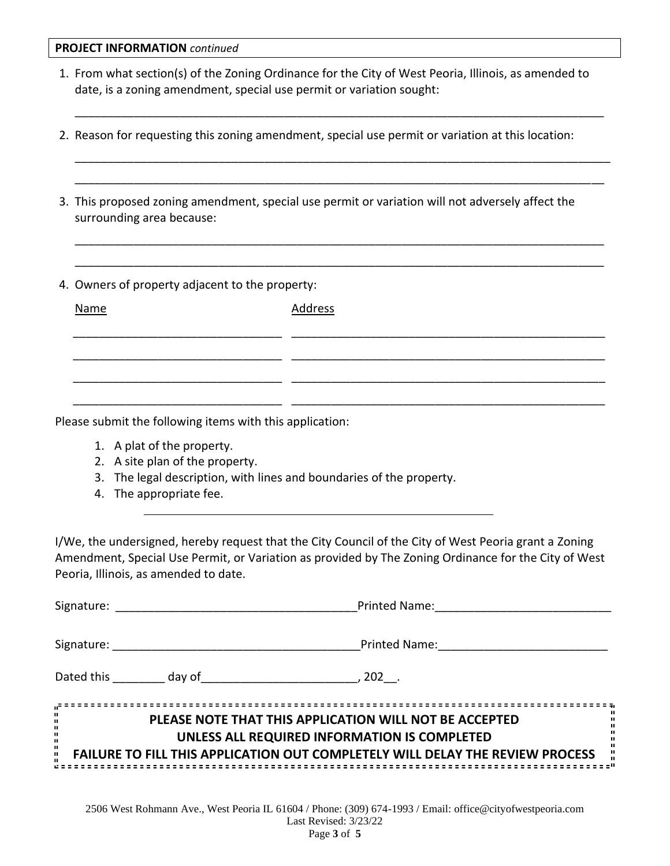## **PROJECT INFORMATION** *continued*

| 1. From what section(s) of the Zoning Ordinance for the City of West Peoria, Illinois, as amended to |
|------------------------------------------------------------------------------------------------------|
| date, is a zoning amendment, special use permit or variation sought:                                 |

\_\_\_\_\_\_\_\_\_\_\_\_\_\_\_\_\_\_\_\_\_\_\_\_\_\_\_\_\_\_\_\_\_\_\_\_\_\_\_\_\_\_\_\_\_\_\_\_\_\_\_\_\_\_\_\_\_\_\_\_\_\_\_\_\_\_\_\_\_\_\_\_\_\_\_\_\_\_\_\_\_

| 2. Reason for requesting this zoning amendment, special use permit or variation at this location: |                                                                                                  |  |  |  |
|---------------------------------------------------------------------------------------------------|--------------------------------------------------------------------------------------------------|--|--|--|
|                                                                                                   |                                                                                                  |  |  |  |
| surrounding area because:                                                                         | 3. This proposed zoning amendment, special use permit or variation will not adversely affect the |  |  |  |
| 4. Owners of property adjacent to the property:                                                   |                                                                                                  |  |  |  |
| Name                                                                                              | Address                                                                                          |  |  |  |
|                                                                                                   |                                                                                                  |  |  |  |
|                                                                                                   |                                                                                                  |  |  |  |

Please submit the following items with this application:

- 1. A plat of the property.
- 2. A site plan of the property.
- 3. The legal description, with lines and boundaries of the property.
- 4. The appropriate fee.

I/We, the undersigned, hereby request that the City Council of the City of West Peoria grant a Zoning Amendment, Special Use Permit, or Variation as provided by The Zoning Ordinance for the City of West Peoria, Illinois, as amended to date.

| Signature:                                       |                   | Printed Name:                                                                                                                                                                                                                     |
|--------------------------------------------------|-------------------|-----------------------------------------------------------------------------------------------------------------------------------------------------------------------------------------------------------------------------------|
| Signature:                                       |                   | <b>Printed Name:</b>                                                                                                                                                                                                              |
|                                                  | Dated this day of | $, 202$ .                                                                                                                                                                                                                         |
| п.<br>$\mathbf{u}$<br>п<br>u.<br>$\frac{11}{11}$ |                   | PLEASE NOTE THAT THIS APPLICATION WILL NOT BE ACCEPTED<br>UNLESS ALL REQUIRED INFORMATION IS COMPLETED<br>FAILURE TO FILL THIS APPLICATION OUT COMPLETELY WILL DELAY THE REVIEW PROCESS<br><u>-------------------------------</u> |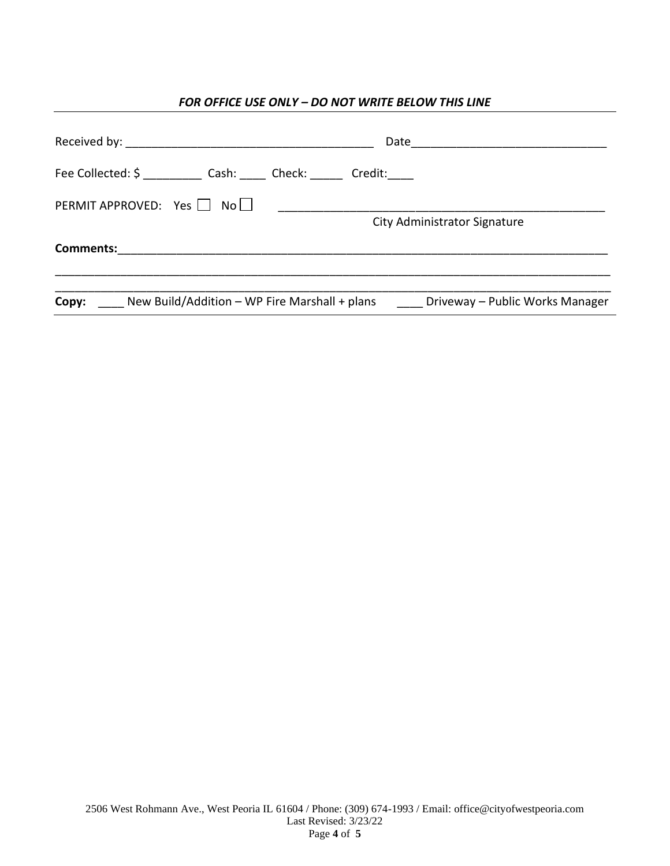## *FOR OFFICE USE ONLY – DO NOT WRITE BELOW THIS LINE*

| Fee Collected: \$ _____________ Cash: ______ Check: _______ Credit: _____ |                                                                               |  |  |
|---------------------------------------------------------------------------|-------------------------------------------------------------------------------|--|--|
| PERMIT APPROVED: Yes   No                                                 | City Administrator Signature                                                  |  |  |
|                                                                           |                                                                               |  |  |
| Copy:                                                                     | New Build/Addition – WP Fire Marshall + plans Driveway – Public Works Manager |  |  |